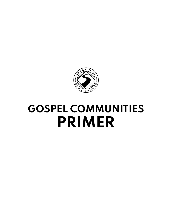

# **GOSPEL COMMUNITIES PRIMER**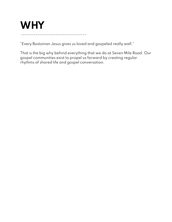# **WHY**

"Every Bostonian Jesus gives us loved and gospeled really well."

------------------------------------

That is the big why behind everything that we do at Seven Mile Road. Our gospel communities exist to propel us forward by creating regular rhythms of shared life and gospel conversation.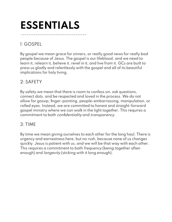# **ESSENTIALS**

------------------------------------

# 1: GOSPEL

By gospel we mean grace for sinners, or really good news for really bad people because of Jesus. The gospel is our lifeblood, and we need to learn it, relearn it, believe it, revel in it, and live from it. GCs are built to press us gladly and relentlessly with the gospel and all of its beautiful implications for holy living.

# 2: SAFETY

By safety we mean that there is room to confess sin, ask questions, connect dots, and be respected and loved in the process. We do not allow for gossip, finger-pointing, people-embarrassing, manipulation, or rolled eyes. Instead, we are committed to honest and straight-forward gospel ministry where we can walk in the light together. This requires a commitment to both confidentiality and transparency.

### 3: TIME

By time we mean giving ourselves to each other for the long haul. There is urgency and earnestness here, but no rush, because none of us changes quickly. Jesus is patient with us, and we will be that way with each other. This requires a commitment to both *frequency* (being together often enough) and longevity (sticking with it long enough).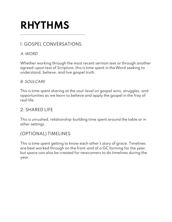# **RHYTHMS**

# 1: GOSPEL CONVERSATIONS

------------------------------------

#### A:WORD

Whether working through the most recent sermon text or through another agreed-upon text of Scripture, this is time spent in theWord seeking to understand, believe, and live gospel truth.

#### B: SOULCARE

This is time spent sharing at the soul-level on gospel wins, struggles, and opportunities as we learn to believe and apply the gospel in the fray of real life.

# 2: SHARED LIFE

This is unrushed, relationship-building time spent around the table or in other settings.

# (OPTIONAL) TIMELINES

This is time spent getting to know each other's story of grace. Timelines are best worked through on the front-end of a GC forming for the year, but space can also be created for newcomers to do timelines during the year.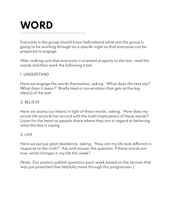# **WORD** ------------------------------------

Everyone in the group should know beforehand what text the group is going to be working through on a specific night so that everyone can be prepared to engage.

After making sure that everyone is oriented properly to the text, read the words and then work the following triad:

#### 1: UNDERSTAND

Here we engage the words themselves, asking, "What does this text say? What does it mean?" Briefly lead a conversation that gets at the big idea(s) of the text.

#### 2: BELIEVE

Here we assess our hearts in light of these words, asking, "How does my actual life accord/not accord with the truth/implications of these words? Listen for the heart as people share where they are in regard to believing what the text is saying.

#### $3 \cdot 1$  IVF

Here we pursue glad obedience, asking, "How can my life look different in response to this truth?" Ask and answer the question: If these words are true, what changes in my life this week?

(Note: Our pastors publish questions each week based on the sermon that was just preached that helpfully move through this progression.)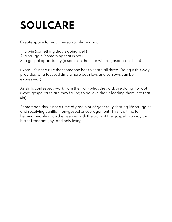# **SOULCARE** ------------------------------------

Create space for each person to share about:

- 1: a win (something that is going well)
- 2: a struggle (something that is not)
- 3: a gospel opportunity (a space in their life where gospel can shine)

(Note: It's not a rule that someone has to share all three. Doing it this way provides for a focused time where both joys and sorrows can be expressed.)

As sin is confessed, work from the fruit (what they did/are doing) to root (what gospel truth are they failing to believe that is leading them into that sin).

Remember, this is not a time of gossip or of generally sharing life struggles and receiving vanilla, non-gospel encouragement. This is a time for helping people align themselves with the truth of the gospel in a way that births freedom, joy, and holy living.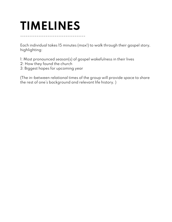# **TIMELINES**

------------------------------------

Each individual takes 15 minutes (max!) to walk through their gospel story, highlighting:

1: Most pronounced season(s) of gospel wakefulness in their lives

2: How they found the church

3: Biggest hopes for upcoming year

(The in-between relational times of the group will provide space to share the rest of one's background and relevant life history. )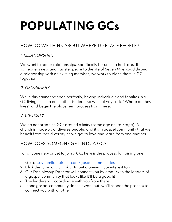# **POPULATING GCs**

------------------------------------

# HOW DOWE THINK ABOUTWHERE TO PLACE PEOPLE?

#### 1: RELATIONSHIPS

We want to honor relationships, specifically for unchurched folks. If someone is new and has stepped into the life of Seven Mile Road through a relationship with an existing member, we work to place them in GC together.

#### 2: GEOGRAPHY

While this cannot happen perfectly, having individuals and families in a GC living close to each other is ideal. So we'll always ask, "Where do they live?" and begin the placement process from there.

#### 3: DIVERSITY

We do not organize GCs around affinity (same age or life-stage). A church is made up of diverse people, and it's in gospel community that we benefit from that diversity as we get to love and learn from one another.

### HOW DOES SOMEONE GET INTO A GC?

For anyone new or yet to join a GC, here is the process for joining one:

- 1: Go to: [sevenmilemelrose.com/gospelcommunities](http://sevenmilemelrose.com/gospelcommunities)
- 2: Click the "Join a GC" link to fill out a one-minute interest form
- 3: Our Discipleship Director will connect you by email with the leaders of a gospel community that looks like it'll be a good fit
- 4: The leaders will coordinate with you from there
- 5: If one gospel community doesn't work out, we'll repeat the process to connect you with another!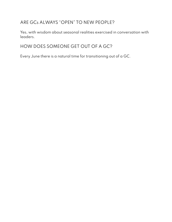# ARE GCs ALWAYS "OPEN" TO NEW PEOPLE?

Yes, with wisdom about seasonal realities exercised in conversation with leaders.

# HOW DOES SOMEONE GET OUT OF A GC?

Every June there is a natural time for transitioning out of a GC.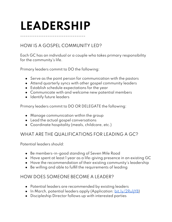# **LEADERSHIP**

------------------------------------

# HOW IS A GOSPEL COMMUNITY LED?

Each GC has an individual or a couple who takes primary responsibility for the community's life.

Primary leaders commit to DO the following:

- Serve as the point person for communication with the pastors
- Attend quarterly syncs with other gospel community leaders
- Establish schedule expectations for the year
- Communicate with and welcome new potential members
- Identify future leaders

Primary leaders commit to DO OR DELEGATE the following:

- Manage communication within the group
- Lead the actual gospel conversations
- Coordinate hospitality (meals, childcare, etc.)

### WHAT ARE THE QUALIFICATIONS FOR LEADING A GC?

Potential leaders should:

- Be members-in-good standing of Seven Mile Road
- Have spent at least 1 year as a life-giving presence in an existing GC
- Have the recommendation of their existing community's leadership
- Be willing and able to fulfill the requirements of leading

### HOW DOES SOMEONE BECOME A LEADER?

- Potential leaders are recommended by existing leaders
- In March, potential leaders apply (Application: bit.ly/2RuliYB)
- Discipleship Director follows up with interested parties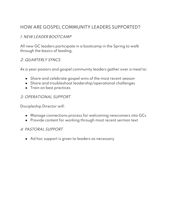# HOW ARE GOSPEL COMMUNITY LEADERS SUPPORTED?

#### 1: NEW LEADER BOOTCAMP

All new GC leaders participate in a bootcamp in the Spring to walk through the basics of leading.

#### 2: QUARTERLY SYNCS

4x a year pastors and gospel community leaders gather over a meal to:

- Share and celebrate gospel wins of the most recent season
- Share and troubleshoot leadership/operational challenges
- Train on best practices

#### 3: OPERATIONAL SUPPORT

Discipleship Director will:

- Manage connections process for welcoming newcomers into GCs
- Provide content for working through most recent sermon text

#### 4: PASTORAL SUPPORT

● Ad hoc support is given to leaders as necessary